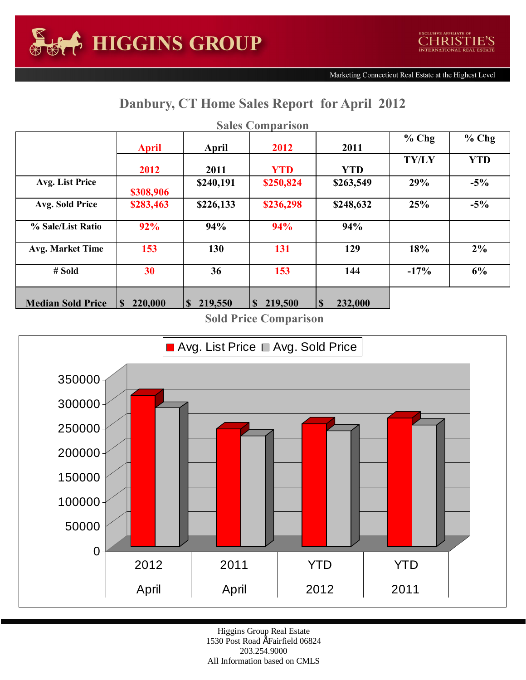## **Danbury, CT Home Sales Report for April 2012**

| <b>Sales Comparison</b>  |                        |                         |                        |                     |              |            |  |  |  |  |  |
|--------------------------|------------------------|-------------------------|------------------------|---------------------|--------------|------------|--|--|--|--|--|
|                          | <b>April</b>           | April                   | 2012                   | 2011                | $%$ Chg      | $%$ Chg    |  |  |  |  |  |
|                          | 2012                   | 2011                    | <b>YTD</b>             | <b>YTD</b>          | <b>TY/LY</b> | <b>YTD</b> |  |  |  |  |  |
| Avg. List Price          | \$308,906              | \$240,191               | \$250,824              | \$263,549           | 29%          | $-5%$      |  |  |  |  |  |
| Avg. Sold Price          | \$283,463              | \$226,133               | \$236,298              | \$248,632           | 25%          | $-5%$      |  |  |  |  |  |
| % Sale/List Ratio        | 92%                    | 94%                     | 94%                    | 94%                 |              |            |  |  |  |  |  |
| <b>Avg. Market Time</b>  | 153                    | 130                     | 131                    | 129                 | 18%          | $2\%$      |  |  |  |  |  |
| # Sold                   | 30                     | 36                      | 153                    | 144                 | $-17%$       | 6%         |  |  |  |  |  |
| <b>Median Sold Price</b> | 220,000<br>$\mathbf S$ | 219,550<br><sup>S</sup> | 219,500<br>$\mathbf S$ | <b>S</b><br>232,000 |              |            |  |  |  |  |  |

**Sold Price Comparison**



Higgins Group Real Estate 1530 Post Road ÉFairfield 06824 203.254.9000 All Information based on CMLS